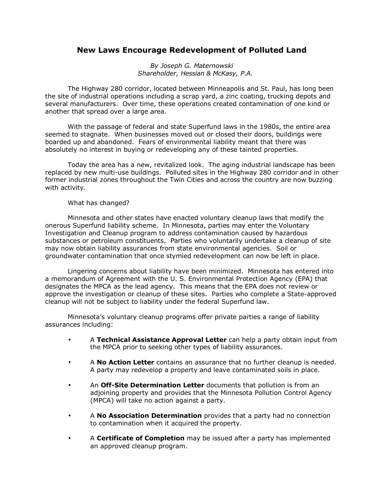## **New Laws Encourage Redevelopment of Polluted Land**

*By Joseph G. Maternowski Shareholder, Hessian & McKasy, P.A.* 

The Highway 280 corridor, located between Minneapolis and St. Paul, has long been the site of industrial operations including a scrap yard, a zinc coating, trucking depots and several manufacturers. Over time, these operations created contamination of one kind or another that spread over a large area.

With the passage of federal and state Superfund laws in the 1980s, the entire area seemed to stagnate. When businesses moved out or closed their doors, buildings were boarded up and abandoned. Fears of environmental liability meant that there was absolutely no interest in buying or redeveloping any of these tainted properties.

Today the area has a new, revitalized look. The aging industrial landscape has been replaced by new multi-use buildings. Polluted sites in the Highway 280 corridor and in other former industrial zones throughout the Twin Cities and across the country are now buzzing with activity.

## What has changed?

Minnesota and other states have enacted voluntary cleanup laws that modify the onerous Superfund liability scheme. In Minnesota, parties may enter the Voluntary Investigation and Cleanup program to address contamination caused by hazardous substances or petroleum constituents. Parties who voluntarily undertake a cleanup of site may now obtain liability assurances from state environmental agencies. Soil or groundwater contamination that once stymied redevelopment can now be left in place.

Lingering concerns about liability have been minimized. Minnesota has entered into a memorandum of Agreement with the U. S. Environmental Protection Agency (EPA) that designates the MPCA as the lead agency. This means that the EPA does not review or approve the investigation or cleanup of these sites. Parties who complete a State-approved cleanup will not be subject to liability under the federal Superfund law.

Minnesotaís voluntary cleanup programs offer private parties a range of liability assurances including:

- A **Technical Assistance Approval Letter** can help a party obtain input from the MPCA prior to seeking other types of liability assurances.
- A **No Action Letter** contains an assurance that no further cleanup is needed. A party may redevelop a property and leave contaminated soils in place.
- An **Off-Site Determination Letter** documents that pollution is from an adjoining property and provides that the Minnesota Pollution Control Agency (MPCA) will take no action against a party.
- A **No Association Determination** provides that a party had no connection to contamination when it acquired the property.
- A **Certificate of Completion** may be issued after a party has implemented an approved cleanup program.